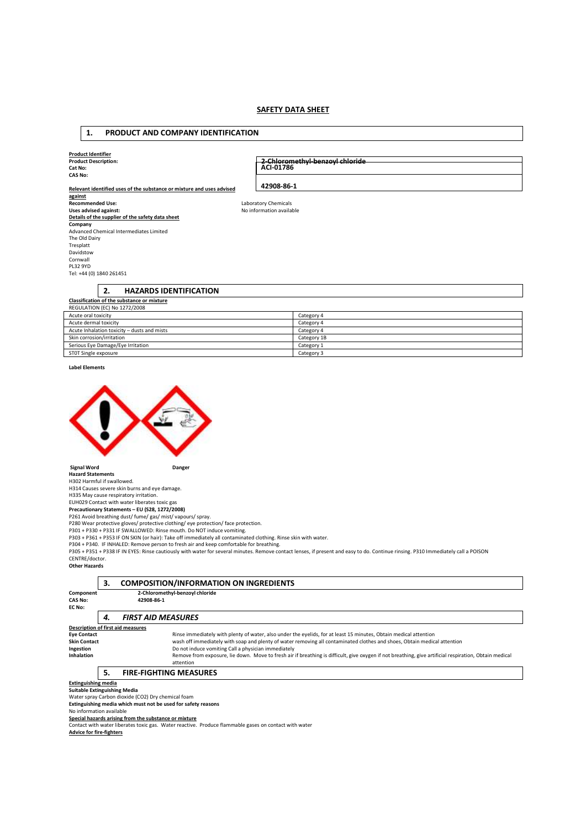# **SAFETY DATA SHEET**

#### **1. PRODUCT AND COMPANY IDENTIFICATION Product Identifier Product Description: Cat No: CAS No: Relevant identified uses of the substance or mixture and uses advised against**<br>Recommended Use: **Recommended Use:** Laboratory Chemicals **Uses advised against:** No information available **Details of the supplier of the safety data sheet Company**  Advanced Chemical Intermediates Limited The Old Dairy Tresplatt **2-Chloromethyl-benzoyl chloride ACI-01786 42908-86-1**

Cornwall PL32 9YD Tel: +44 (0) 1840 261451

# **2. HAZARDS IDENTIFICATION**

| <b>Classification of the substance or mixture</b> |             |  |  |  |
|---------------------------------------------------|-------------|--|--|--|
| REGULATION (EC) No 1272/2008                      |             |  |  |  |
| Acute oral toxicity                               | Category 4  |  |  |  |
| Acute dermal toxicity                             | Category 4  |  |  |  |
| Acute Inhalation toxicity - dusts and mists       | Category 4  |  |  |  |
| Skin corrosion/irritation                         | Category 1B |  |  |  |
| Serious Eye Damage/Eye Irritation                 | Category 1  |  |  |  |
| STOT Single exposure                              | Category 3  |  |  |  |

**Label Elements** 

Davidstow



 **Signal Word Danger Hazard Statements** 

H302 Harmful if swallowed.

H314 Causes severe skin burns and eye damage.

H335 May cause respiratory irritation.<br>EUH029 Contact with water liberates toxic gas<br>**Precautionary Statements – EU (S28, 1272/2008)**<br>P261 Avoid breathing dust/ fume/ gas/ mist/ vapours/ spray.

P280 Wear protective gloves/ protective clothing/ eye protection/ face protection. P301 + P330 + P331 IF SWALLOWED: Rinse mouth. Do NOT induce vomiting.

P303 + P361 + P353 IF ON SKIN (or hair): Take off immediately all contaminated clothing. Rinse skin with water.<br>P304 + P340. IF INHALED: Remove person to fresh air and keep comfortable for breathing.

P305 + P351 + P338 IF IN EYES: Rinse cautiously with water for several minutes. Remove contact lenses, if present and easy to do. Continue rinsing. P310 Immediately call a POISON CENTRE/doctor.

**Other Hazards**

|                                                               | 3.<br><b>COMPOSITION/INFORMATION ON INGREDIENTS</b> |                                                                                                                                                        |  |  |  |
|---------------------------------------------------------------|-----------------------------------------------------|--------------------------------------------------------------------------------------------------------------------------------------------------------|--|--|--|
| Component                                                     | 2-Chloromethyl-benzoyl chloride                     |                                                                                                                                                        |  |  |  |
| <b>CAS No:</b>                                                | 42908-86-1                                          |                                                                                                                                                        |  |  |  |
| EC No:                                                        |                                                     |                                                                                                                                                        |  |  |  |
|                                                               | 4.                                                  | <b>FIRST AID MEASURES</b>                                                                                                                              |  |  |  |
| Description of first aid measures                             |                                                     |                                                                                                                                                        |  |  |  |
| <b>Eye Contact</b>                                            |                                                     | Rinse immediately with plenty of water, also under the eyelids, for at least 15 minutes, Obtain medical attention                                      |  |  |  |
| <b>Skin Contact</b>                                           |                                                     | wash off immediately with soap and plenty of water removing all contaminated clothes and shoes, Obtain medical attention                               |  |  |  |
| Ingestion                                                     |                                                     | Do not induce vomiting Call a physician immediately                                                                                                    |  |  |  |
| <b>Inhalation</b>                                             |                                                     | Remove from exposure, lie down. Move to fresh air if breathing is difficult, give oxygen if not breathing, give artificial respiration, Obtain medical |  |  |  |
|                                                               |                                                     | attention                                                                                                                                              |  |  |  |
|                                                               | 5.                                                  | <b>FIRE-FIGHTING MEASURES</b>                                                                                                                          |  |  |  |
|                                                               | <b>Extinguishing media</b>                          |                                                                                                                                                        |  |  |  |
| <b>Suitable Extinguishing Media</b>                           |                                                     |                                                                                                                                                        |  |  |  |
| Water spray Carbon dioxide (CO2) Dry chemical foam            |                                                     |                                                                                                                                                        |  |  |  |
| Extinguishing media which must not be used for safety reasons |                                                     |                                                                                                                                                        |  |  |  |
| No information available                                      |                                                     |                                                                                                                                                        |  |  |  |
|                                                               |                                                     | Special hazards arising from the substance or mixture                                                                                                  |  |  |  |
|                                                               |                                                     | Contact with water liberates toxic gas. Water reactive. Produce flammable gases on contact with water                                                  |  |  |  |

**Advice for fire-fighters**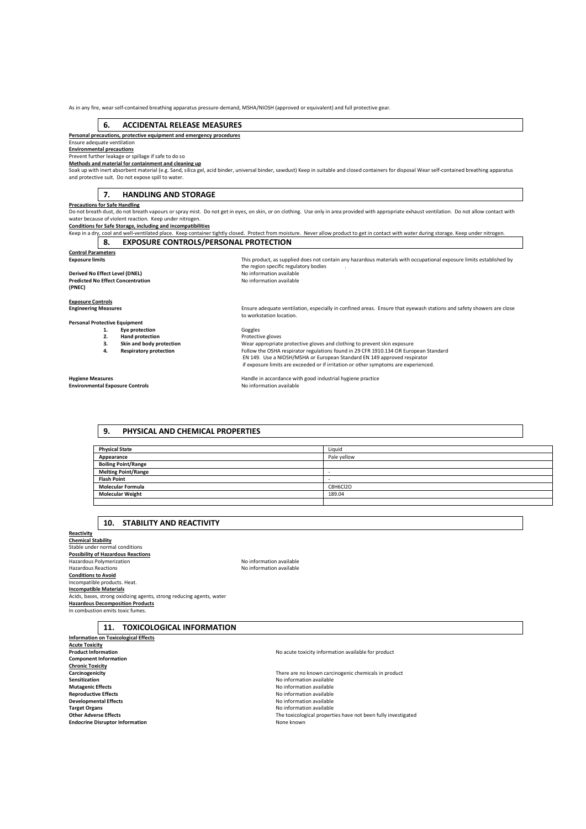As in any fire, wear self-contained breathing apparatus pressure-demand, MSHA/NIOSH (approved or equivalent) and full protective gear.

# **6. ACCIDENTAL RELEASE MEASURES**

**Personal precautions, protective equipment and emergency procedures** 

#### Ensure adequate ventilation **Environmental precautions**

Prevent further leakage or spillage if safe to do so

**Methods and material for containment and cleaning up** 

Soak up with inert absorbent material (e.g. Sand, silica gel, acid binder, universal binder, sawdust) Keep in suitable and closed containers for disposal Wear self-contained breathing apparatus and protective suit. Do not expose spill to water.

# **7. HANDLING AND STORAGE**

#### **Precautions for Safe Handling**

Do not breath dust, do not breath vapours or spray mist. Do not get in eyes, on skin, or on clothing. Use only in area provided with appropriate exhaust ventilation. Do not allow contact with<br>water because of violent react

# **Conditions for Safe Storage, including and incompatibilities**

Keep in a dry, cool and well-ventilated place. Keep container tightly closed. Protect from moisture. Never allow product to get in contact with water during storage. Keep under nitrogen.<br> **8.** EXPOSURE CONTROLS/PERSONAL PR **EXPOSURE CONTROLS/PERSONAL PROTECTION** 

the region specific regulatory bodies<br>No information available

to workstation location.

| <b>Control Parameters</b> |                                                                                                                     |
|---------------------------|---------------------------------------------------------------------------------------------------------------------|
| <b>Exposure limits</b>    | This product, as supplied does not contain any hazardous materials with occupational exposure limits established by |

#### **Derived No Effect Level (DNEL) Predicted No Effect Concentration (PNEC)**

**Exposure Controls Engineering Measures** Ensure adequate ventilation, especially in confined areas. Ensure that eyewash stations and safety showers are close

**Personal Protective Equipment** 

- 
- **2. Hand protection** 
	-
	-

**Environmental Exposure Controls** 

**1. Eye protection 1. Example 1.** Goggles **2. Hand protection 1. Example 2. Protective** gloves **3. 3. Skin and body protection Wear appropriate protective gloves and clothing to prevent skin exposure <b>4. Respiratory protection Follow the OSHA respirator regulations found in 29 CFR 1910.134 OR Euro 4. Respiratory protection** Follow the OSHA respirator regulations found in 29 CFR 1910.134 OR European Standard EN 149. Use a NIOSH/MSHA or European Standard EN 149 approved respirator if exposure limits are exceeded or if irritation or other symptoms are experienced.

**Hygiene Measures**<br> **Handle in accordance with good industrial hygiene practice**<br> **No information available**<br>
No information available

# **9. PHYSICAL AND CHEMICAL PROPERTIES**

| <b>Physical State</b>      | Liquid      |
|----------------------------|-------------|
| Appearance                 | Pale yellow |
| <b>Boiling Point/Range</b> |             |
| <b>Melting Point/Range</b> |             |
| <b>Flash Point</b>         |             |
| <b>Molecular Formula</b>   | C8H6Cl2O    |
| <b>Molecular Weight</b>    | 189.04      |
|                            |             |

# **10. STABILITY AND REACTIVITY**

**Reactivity Chemical Stability**  Stable under normal conditions **Possibility of Hazardous Reactions**<br>Hazardous Polymerization **No information are activities in the Search A**NO information available Hazardous Reactions **Conditions to Avoid**  Incompatible products. Heat. **Incompatible Materials**  Acids, bases, strong oxidizing agents, strong reducing agents, water **Hazardous Decomposition Products**  In combustion emits toxic fume.

| vo information available |  |
|--------------------------|--|
| Jo information available |  |

**11. TOXICOLOGICAL INFORMATION** 

**Information on Toxicological Effects Acute Toxicity Component Information Chronic Toxicity**<br>**Carcinogenicity Sensitization**<br> **Sensitization**<br> **Sensitization**<br> **Mutagenic Effects**<br> **Mutagenic Effects Mutagenic Effects Mutagenic Effects No information available Reproductive Effects No information available Reproductive Effects Reproductive Effects**<br> **Reproductive Effects**<br> **Reproductive Effects**<br> **Reproductive Effects**<br> **Reproductive Effects Target Organs No** information available<br> **Cities:** Content of the Adverse Effects<br> **Cities:** Cities: The toxicological property **Endocrine Disruptor Information** None known

**Carcinogenicity Carcinogenicity Carcinogenicity Carcinogenic chemicals in product Carcinogenic chemicals in product Carcinogenic chemicals in product Carcinogenic chemicals in product Carcinogenic chemicals Developmental Effects** No information available **Other Adverse Effects** The toxicological properties have not been fully investigated

No acute toxicity information available for product